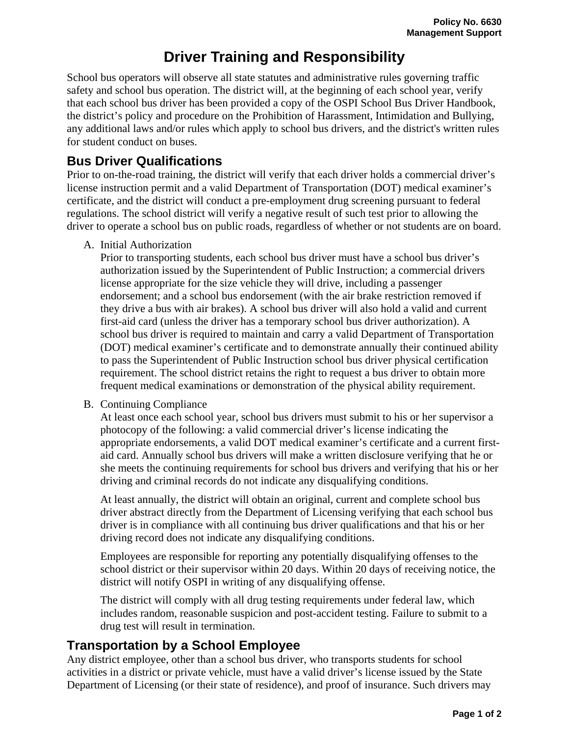# **Driver Training and Responsibility**

School bus operators will observe all state statutes and administrative rules governing traffic safety and school bus operation. The district will, at the beginning of each school year, verify that each school bus driver has been provided a copy of the OSPI School Bus Driver Handbook, the district's policy and procedure on the Prohibition of Harassment, Intimidation and Bullying, any additional laws and/or rules which apply to school bus drivers, and the district's written rules for student conduct on buses.

## **Bus Driver Qualifications**

Prior to on-the-road training, the district will verify that each driver holds a commercial driver's license instruction permit and a valid Department of Transportation (DOT) medical examiner's certificate, and the district will conduct a pre-employment drug screening pursuant to federal regulations. The school district will verify a negative result of such test prior to allowing the driver to operate a school bus on public roads, regardless of whether or not students are on board.

A. Initial Authorization

Prior to transporting students, each school bus driver must have a school bus driver's authorization issued by the Superintendent of Public Instruction; a commercial drivers license appropriate for the size vehicle they will drive, including a passenger endorsement; and a school bus endorsement (with the air brake restriction removed if they drive a bus with air brakes). A school bus driver will also hold a valid and current first-aid card (unless the driver has a temporary school bus driver authorization). A school bus driver is required to maintain and carry a valid Department of Transportation (DOT) medical examiner's certificate and to demonstrate annually their continued ability to pass the Superintendent of Public Instruction school bus driver physical certification requirement. The school district retains the right to request a bus driver to obtain more frequent medical examinations or demonstration of the physical ability requirement.

B. Continuing Compliance

At least once each school year, school bus drivers must submit to his or her supervisor a photocopy of the following: a valid commercial driver's license indicating the appropriate endorsements, a valid DOT medical examiner's certificate and a current firstaid card. Annually school bus drivers will make a written disclosure verifying that he or she meets the continuing requirements for school bus drivers and verifying that his or her driving and criminal records do not indicate any disqualifying conditions.

At least annually, the district will obtain an original, current and complete school bus driver abstract directly from the Department of Licensing verifying that each school bus driver is in compliance with all continuing bus driver qualifications and that his or her driving record does not indicate any disqualifying conditions.

Employees are responsible for reporting any potentially disqualifying offenses to the school district or their supervisor within 20 days. Within 20 days of receiving notice, the district will notify OSPI in writing of any disqualifying offense.

The district will comply with all drug testing requirements under federal law, which includes random, reasonable suspicion and post-accident testing. Failure to submit to a drug test will result in termination.

# **Transportation by a School Employee**

Any district employee, other than a school bus driver, who transports students for school activities in a district or private vehicle, must have a valid driver's license issued by the State Department of Licensing (or their state of residence), and proof of insurance. Such drivers may